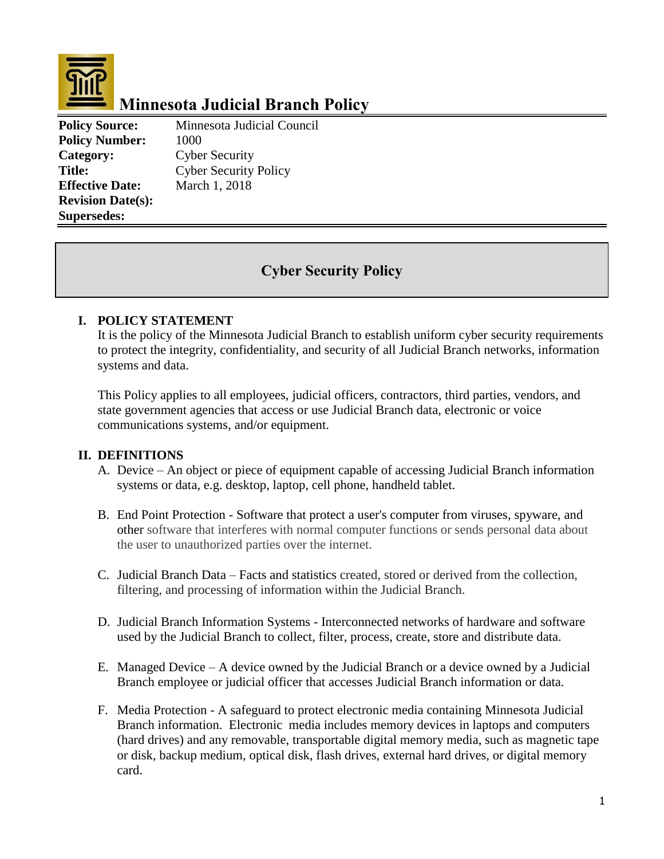

# **Minnesota Judicial Branch Policy**

**Policy Source:** Minnesota Judicial Council **Policy Number:** 1000 **Category:** Cyber Security **Title:** Cyber Security Policy **Effective Date:** March 1, 2018 **Revision Date(s): Supersedes:** 

# **Cyber Security Policy**

# **I. POLICY STATEMENT**

It is the policy of the Minnesota Judicial Branch to establish uniform cyber security requirements to protect the integrity, confidentiality, and security of all Judicial Branch networks, information systems and data.

This Policy applies to all employees, judicial officers, contractors, third parties, vendors, and state government agencies that access or use Judicial Branch data, electronic or voice communications systems, and/or equipment.

## **II. DEFINITIONS**

- A. Device An object or piece of equipment capable of accessing Judicial Branch information systems or data, e.g. desktop, laptop, cell phone, handheld tablet.
- B. End Point Protection Software that protect a user's computer from viruses, spyware, and other software that interferes with normal computer functions or sends personal data about the user to unauthorized parties over the internet.
- C. Judicial Branch Data Facts and statistics created, stored or derived from the collection, filtering, and processing of information within the Judicial Branch.
- D. Judicial Branch Information Systems Interconnected networks of hardware and software used by the Judicial Branch to collect, filter, process, create, store and distribute data.
- E. Managed Device A device owned by the Judicial Branch or a device owned by a Judicial Branch employee or judicial officer that accesses Judicial Branch information or data.
- F. Media Protection A safeguard to protect electronic media containing Minnesota Judicial Branch information. Electronic media includes memory devices in laptops and computers (hard drives) and any removable, transportable digital memory media, such as magnetic tape or disk, backup medium, optical disk, flash drives, external hard drives, or digital memory card.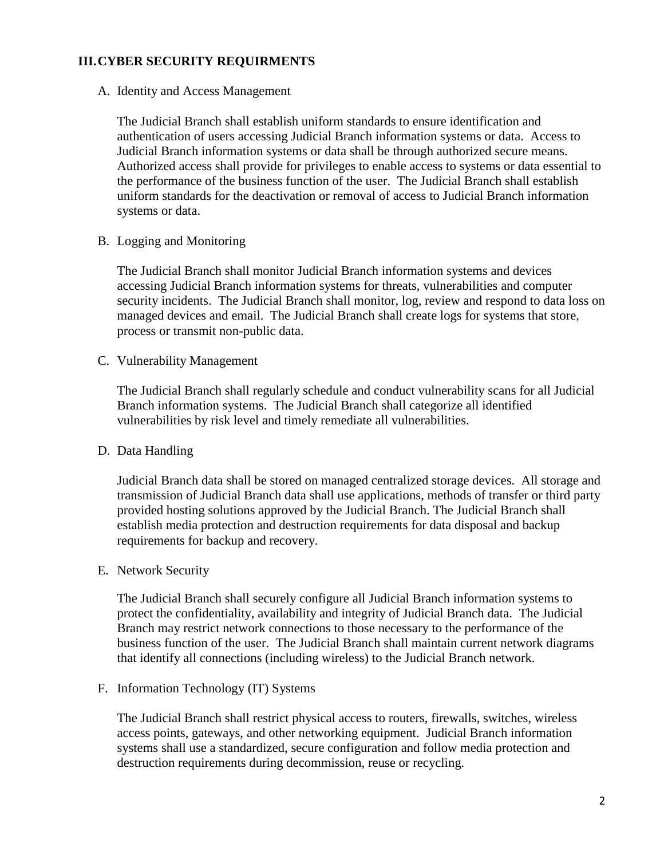## **III.CYBER SECURITY REQUIRMENTS**

A. Identity and Access Management

The Judicial Branch shall establish uniform standards to ensure identification and authentication of users accessing Judicial Branch information systems or data. Access to Judicial Branch information systems or data shall be through authorized secure means. Authorized access shall provide for privileges to enable access to systems or data essential to the performance of the business function of the user. The Judicial Branch shall establish uniform standards for the deactivation or removal of access to Judicial Branch information systems or data.

B. Logging and Monitoring

The Judicial Branch shall monitor Judicial Branch information systems and devices accessing Judicial Branch information systems for threats, vulnerabilities and computer security incidents. The Judicial Branch shall monitor, log, review and respond to data loss on managed devices and email. The Judicial Branch shall create logs for systems that store, process or transmit non-public data.

C. Vulnerability Management

The Judicial Branch shall regularly schedule and conduct vulnerability scans for all Judicial Branch information systems. The Judicial Branch shall categorize all identified vulnerabilities by risk level and timely remediate all vulnerabilities.

## D. Data Handling

Judicial Branch data shall be stored on managed centralized storage devices. All storage and transmission of Judicial Branch data shall use applications, methods of transfer or third party provided hosting solutions approved by the Judicial Branch. The Judicial Branch shall establish media protection and destruction requirements for data disposal and backup requirements for backup and recovery.

E. Network Security

The Judicial Branch shall securely configure all Judicial Branch information systems to protect the confidentiality, availability and integrity of Judicial Branch data. The Judicial Branch may restrict network connections to those necessary to the performance of the business function of the user. The Judicial Branch shall maintain current network diagrams that identify all connections (including wireless) to the Judicial Branch network.

F. Information Technology (IT) Systems

The Judicial Branch shall restrict physical access to routers, firewalls, switches, wireless access points, gateways, and other networking equipment. Judicial Branch information systems shall use a standardized, secure configuration and follow media protection and destruction requirements during decommission, reuse or recycling.